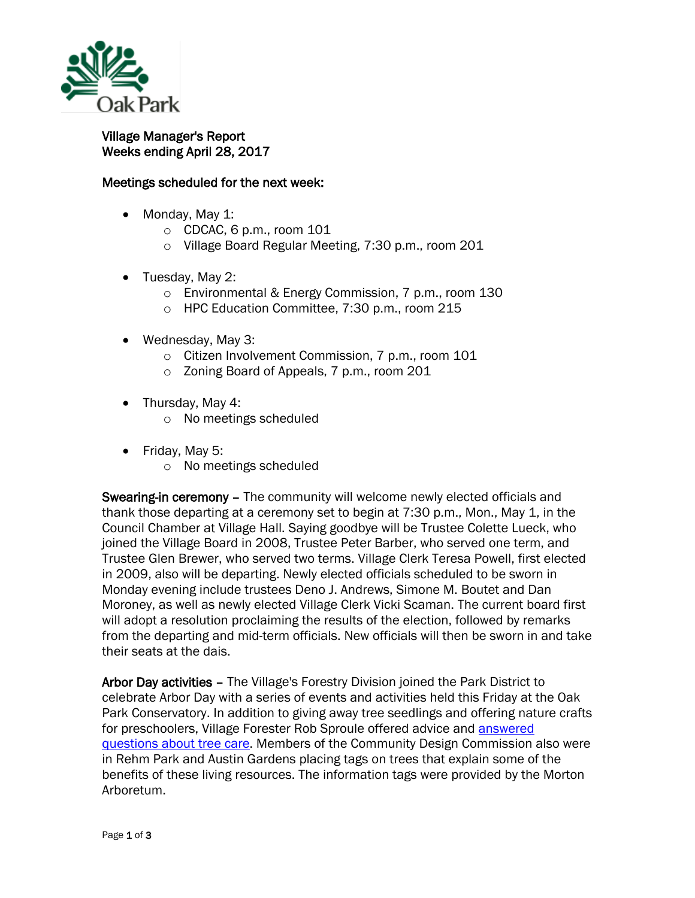

## Village Manager's Report Weeks ending April 28, 2017

## Meetings scheduled for the next week:

- Monday, May 1:
	- $\circ$  CDCAC, 6 p.m., room 101
	- o Village Board Regular Meeting, 7:30 p.m., room 201
- Tuesday, May 2:
	- o Environmental & Energy Commission, 7 p.m., room 130
	- o HPC Education Committee, 7:30 p.m., room 215
- Wednesday, May 3:
	- o Citizen Involvement Commission, 7 p.m., room 101
	- o Zoning Board of Appeals, 7 p.m., room 201
- Thursday, May 4:
	- o No meetings scheduled
- Friday, May 5:
	- o No meetings scheduled

**Swearing-in ceremony –** The community will welcome newly elected officials and thank those departing at a ceremony set to begin at 7:30 p.m., Mon., May 1, in the Council Chamber at Village Hall. Saying goodbye will be Trustee Colette Lueck, who joined the Village Board in 2008, Trustee Peter Barber, who served one term, and Trustee Glen Brewer, who served two terms. Village Clerk Teresa Powell, first elected in 2009, also will be departing. Newly elected officials scheduled to be sworn in Monday evening include trustees Deno J. Andrews, Simone M. Boutet and Dan Moroney, as well as newly elected Village Clerk Vicki Scaman. The current board first will adopt a resolution proclaiming the results of the election, followed by remarks from the departing and mid-term officials. New officials will then be sworn in and take their seats at the dais.

Arbor Day activities – The Village's Forestry Division joined the Park District to celebrate Arbor Day with a series of events and activities held this Friday at the Oak Park Conservatory. In addition to giving away tree seedlings and offering nature crafts for preschoolers, Village Forester Rob Sproule offered advice and [answered](http://www.oak-park.us/village-services/public-works/parkway-tree-care-maintenance)  [questions about tree care.](http://www.oak-park.us/village-services/public-works/parkway-tree-care-maintenance) Members of the Community Design Commission also were in Rehm Park and Austin Gardens placing tags on trees that explain some of the benefits of these living resources. The information tags were provided by the Morton Arboretum.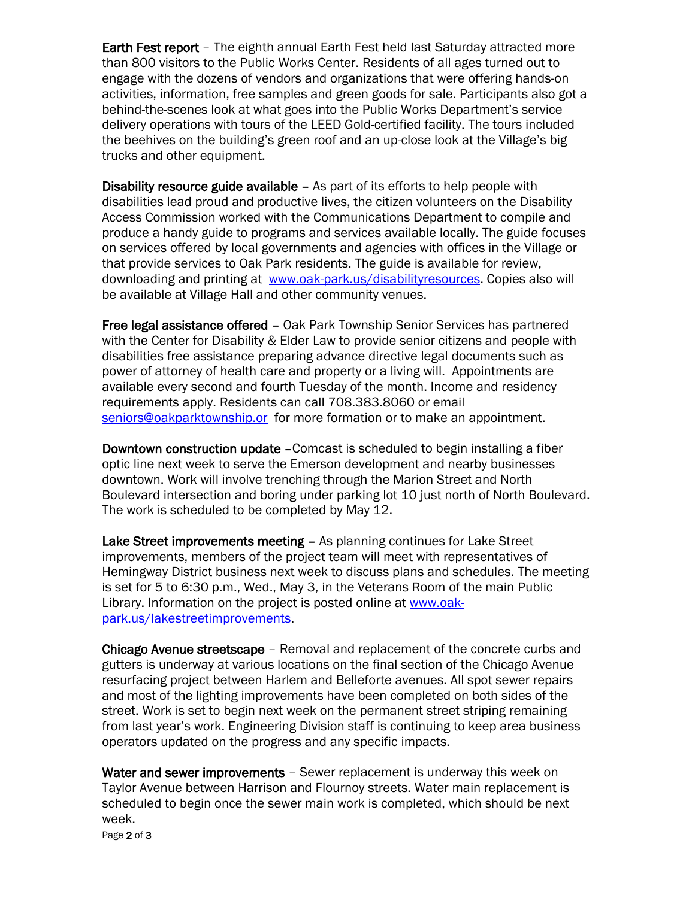Earth Fest report – The eighth annual Earth Fest held last Saturday attracted more than 800 visitors to the Public Works Center. Residents of all ages turned out to engage with the dozens of vendors and organizations that were offering hands-on activities, information, free samples and green goods for sale. Participants also got a behind-the-scenes look at what goes into the Public Works Department's service delivery operations with tours of the LEED Gold-certified facility. The tours included the beehives on the building's green roof and an up-close look at the Village's big trucks and other equipment.

Disability resource guide available – As part of its efforts to help people with disabilities lead proud and productive lives, the citizen volunteers on the Disability Access Commission worked with the Communications Department to compile and produce a handy guide to programs and services available locally. The guide focuses on services offered by local governments and agencies with offices in the Village or that provide services to Oak Park residents. The guide is available for review, downloading and printing at [www.oak-park.us/disabilityresources.](http://r20.rs6.net/tn.jsp?f=001Y4RzVrL48i-PyT7rs-iOef7qmD6C1k24s8twax6A2kE7OA3_KAOY10MSHdDUXpY7YKyaLDQzxcVnBa1kAlya0RyogbFKfQI7tNy6-2yjjD827TolIjGUWUob0vjGTcN_Wcc0_yQ-JklFC5C-PwZ0aq9SwKcfBeTUm2IjnuEsTVlAEkaSEuYUrQ-GquhoLdkKs4QBo5ZFeB6oXnlNE1h_EPQ2CKjfLaA00VOfHTr6J8kATY1T9XEYC-_qkCrPLRQLCU97YAzaBYEci8dfMsS4NDmPujW2H1JKOQzZUHk0voulybZ0Fv7kXA==&c=jPndkUUfh4fXkM3kFfJGIdsfQ1DpcPzHFDiztul8nBoSNe59j14feg==&ch=t8nTwvJ22QH5ifKQ_hCc9w12X5Fo1W1gcz49tSBT54Y82gq6JgEg3A==) Copies also will be available at Village Hall and other community venues.

Free legal assistance offered – Oak Park Township Senior Services has partnered with the Center for Disability & Elder Law to provide senior citizens and people with disabilities free assistance preparing advance directive legal documents such as power of attorney of health care and property or a living will. Appointments are available every second and fourth Tuesday of the month. Income and residency requirements apply. Residents can call 708.383.8060 or email [seniors@oakparktownship.or](mailto:seniors@oakparktownship.or) for more formation or to make an appointment.

Downtown construction update –Comcast is scheduled to begin installing a fiber optic line next week to serve the Emerson development and nearby businesses downtown. Work will involve trenching through the Marion Street and North Boulevard intersection and boring under parking lot 10 just north of North Boulevard. The work is scheduled to be completed by May 12.

Lake Street improvements meeting – As planning continues for Lake Street improvements, members of the project team will meet with representatives of Hemingway District business next week to discuss plans and schedules. The meeting is set for 5 to 6:30 p.m., Wed., May 3, in the Veterans Room of the main Public Library. Information on the project is posted online at [www.oak](http://www.oak-park.us/lakestreetimprovements)[park.us/lakestreetimprovements.](http://www.oak-park.us/lakestreetimprovements)

Chicago Avenue streetscape – Removal and replacement of the concrete curbs and gutters is underway at various locations on the final section of the Chicago Avenue resurfacing project between Harlem and Belleforte avenues. All spot sewer repairs and most of the lighting improvements have been completed on both sides of the street. Work is set to begin next week on the permanent street striping remaining from last year's work. Engineering Division staff is continuing to keep area business operators updated on the progress and any specific impacts.

Water and sewer improvements - Sewer replacement is underway this week on Taylor Avenue between Harrison and Flournoy streets. Water main replacement is scheduled to begin once the sewer main work is completed, which should be next week.

Page 2 of 3